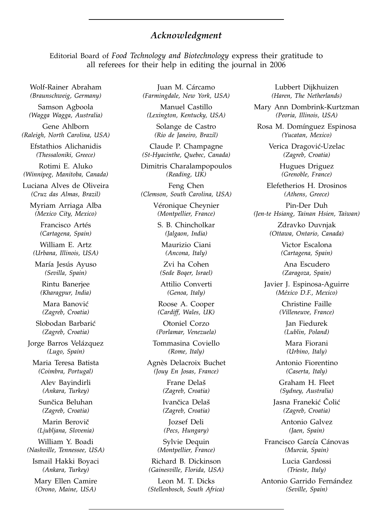## *Acknowledgment*

Editorial Board of *Food Technology and Biotechnology* express their gratitude to all referees for their help in editing the journal in 2006

Wolf-Rainer Abraham *(Braunschweig, Germany)*

Samson Agboola *(Wagga Wagga, Australia)*

Gene Ahlborn *(Raleigh, North Carolina, USA)*

Efstathios Alichanidis *(Thessaloniki, Greece)*

Rotimi E. Aluko *(Winnipeg, Manitoba, Canada)*

Luciana Alves de Oliveira *(Cruz das Almas, Brazil)*

Myriam Arriaga Alba *(Mexico City, Mexico)*

> Francisco Artés *(Cartagena, Spain)*

William E. Artz *(Urbana, Illinois, USA)*

María Jesús Ayuso *(Sevilla, Spain)*

Rintu Banerjee *(Kharagpur, India)*

Mara Banović *(Zagreb, Croatia)*

Slobodan Barbarić *(Zagreb, Croatia)*

Jorge Barros Velázquez *(Lugo, Spain)*

Maria Teresa Batista *(Coimbra, Portugal)*

> Alev Bayindirli *(Ankara, Turkey)*

Sunčica Beluhan *(Zagreb, Croatia)*

Marin Berovič *(Ljubljana, Slovenia)*

William Y. Boadi *(Nashville, Tennessee, USA)*

Ismail Hakki Boyaci *(Ankara, Turkey)*

Mary Ellen Camire *(Orono, Maine, USA)*

Juan M. Cárcamo *(Farmingdale, New York, USA)*

Manuel Castillo *(Lexington, Kentucky, USA)*

Solange de Castro *(Rio de Janeiro, Brazil)*

Claude P. Champagne *(St-Hyacinthe, Quebec, Canada)*

Dimitris Charalampopoulos *(Reading, UK)*

Feng Chen *(Clemson, South Carolina, USA)*

> Véronique Cheynier *(Montpellier, France)*

S. B. Chincholkar *(Jalgaon, India)*

Maurizio Ciani *(Ancona, Italy)*

Zvi ha Cohen *(Sede Boqer, Israel)*

Attilio Converti *(Genoa, Italy)*

Roose A. Cooper *(Cardiff, Wales, UK)*

Otoniel Corzo *(Porlamar, Venezuela)*

Tommasina Coviello *(Rome, Italy)*

Agnès Delacroix Buchet *(Jouy En Josas, France)*

> Frane Delaš *(Zagreb, Croatia)*

Ivančica Delaš *(Zagreb, Croatia)*

Jozsef Deli *(Pecs, Hungary)*

Sylvie Dequin *(Montpellier, France)*

Richard B. Dickinson *(Gainesville, Florida, USA)*

Leon M. T. Dicks *(Stellenbosch, South Africa)*

Lubbert Dijkhuizen *(Haren, The Netherlands)*

Mary Ann Dombrink-Kurtzman *(Peoria, Illinois, USA)*

Rosa M. Domínguez Espinosa *(Yucatan, Mexico)*

> Verica Dragović-Uzelac *(Zagreb, Croatia)*

> > Hugues Driguez *(Grenoble, France)*

Elefetherios H. Drosinos *(Athens, Greece)*

Pin-Der Duh *(Jen-te Hsiang, Tainan Hsien, Taiwan)*

> Zdravko Duvnjak *(Ottawa, Ontario, Canada)*

> > Victor Escalona *(Cartagena, Spain)*

Ana Escudero *(Zaragoza, Spain)*

Javier J. Espinosa-Aguirre *(México D.F., Mexico)*

> Christine Faille *(Villeneuve, France)*

Jan Fiedurek *(Lublin, Poland)*

Mara Fiorani *(Urbino, Italy)*

Antonio Fiorentino *(Caserta, Italy)*

Graham H. Fleet *(Sydney, Australia)*

Jasna Franekić Čolić *(Zagreb, Croatia)*

> Antonio Galvez *(Jaen, Spain)*

Francisco García Cánovas *(Murcia, Spain)*

> Lucia Gardossi *(Trieste, Italy)*

Antonio Garrido Fernández *(Seville, Spain)*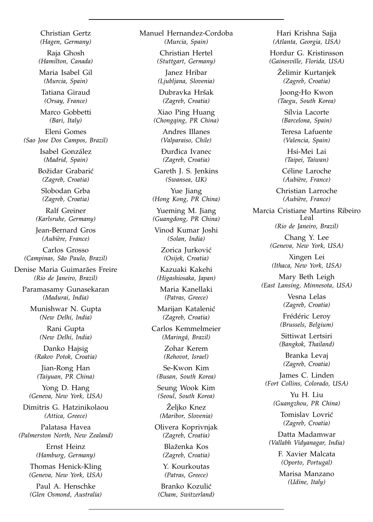Christian Gertz *(Hagen, Germany)*

Raja Ghosh *(Hamilton, Canada)*

Maria Isabel Gil *(Murcia, Spain)*

Tatiana Giraud *(Orsay, France)*

Marco Gobbetti *(Bari, Italy)*

Eleni Gomes *(Sao Jose Dos Campos, Brazil)*

> Isabel González *(Madrid, Spain)*

Božidar Grabarić *(Zagreb, Croatia)*

Slobodan Grba *(Zagreb, Croatia)*

Ralf Greiner *(Karlsruhe, Germany)*

Jean-Bernard Gros *(Aubière, France)*

Carlos Grosso *(Campinas, São Paulo, Brazil)*

Denise Maria Guimarães Freire *(Rio de Janeiro, Brazil)*

Paramasamy Gunasekaran *(Madurai, India)*

Munishwar N. Gupta *(New Delhi, India)*

> Rani Gupta *(New Delhi, India)*

Danko Hajsig *(Rakov Potok, Croatia)*

Jian-Rong Han *(Taiyuan, PR China)*

Yong D. Hang *(Geneva, New York, USA)*

Dimitris G. Hatzinikolaou *(Attica, Greece)*

Palatasa Havea *(Palmerston North, New Zealand)*

> Ernst Heinz *(Hamburg, Germany)*

Thomas Henick-Kling *(Geneva, New York, USA)*

Paul A. Henschke *(Glen Osmond, Australia)* Manuel Hernandez-Cordoba *(Murcia, Spain)*

> Christian Hertel *(Stuttgart, Germany)*

Janez Hribar *(Ljubljana, Slovenia)*

Dubravka Hršak *(Zagreb, Croatia)*

Xiao Ping Huang *(Chongqing, PR China)*

> Andres Illanes *(Valparaiso, Chile)*

**Durdica Ivanec** *(Zagreb, Croatia)*

Gareth J. S. Jenkins *(Swansea, UK)*

Yue Jiang *(Hong Kong, PR China)*

Yueming M. Jiang *(Guangdong, PR China)*

Vinod Kumar Joshi *(Solan, India)*

Zorica Jurković *(Osijek, Croatia)*

Kazuaki Kakehi *(Higashiosaka, Japan)*

Maria Kanellaki *(Patras, Greece)*

Marijan Katalenić *(Zagreb, Croatia)*

Carlos Kemmelmeier *(Maringá, Brazil)*

> Zohar Kerem *(Rehovot, Israel)*

Se-Kwon Kim *(Busan, South Korea)*

Seung Wook Kim *(Seoul, South Korea)*

Želiko Knez *(Maribor, Slovenia)*

Olivera Koprivnjak *(Zagreb, Croatia)*

> Blaženka Kos *(Zagreb, Croatia)*

Y. Kourkoutas *(Patras, Greece)*

Branko Kozulić *(Cham, Switzerland)*

Hari Krishna Sajja *(Atlanta, Georgia, USA)*

Hordur G. Kristinsson *(Gainesville, Florida, USA)*

> Zelimir Kurtanjek *(Zagreb, Croatia)*

Joong-Ho Kwon *(Taegu, South Korea)*

Sílvia Lacorte *(Barcelona, Spain)*

Teresa Lafuente *(Valencia, Spain)*

Hsi-Mei Lai *(Taipei, Taiwan)*

Céline Laroche *(Aubière, France)*

Christian Larroche *(Aubière, France)*

Marcia Cristiane Martins Ribeiro Leal *(Rio de Janeiro, Brazil)*

> Chang Y. Lee *(Geneva, New York, USA)*

Xingen Lei *(Ithaca, New York, USA)*

Mary Beth Leigh *(East Lansing, Minnesota, USA)*

> Vesna Lelas *(Zagreb, Croatia)*

Frédéric Leroy *(Brussels, Belgium)*

Sittiwat Lertsiri *(Bangkok, Thailand)*

Branka Levaj *(Zagreb, Croatia)*

James C. Linden *(Fort Collins, Colorado, USA)*

Yu H. Liu *(Guangzhou, PR China)*

Tomislav Lovrić *(Zagreb, Croatia)*

Datta Madamwar *(Vallabh Vidyanagar, India)*

> F. Xavier Malcata *(Oporto, Portugal)*

Marisa Manzano *(Udine, Italy)*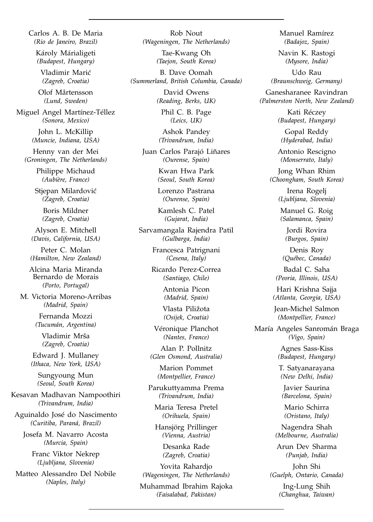Carlos A. B. De Maria *(Rio de Janeiro, Brazil)*

Károly Márialigeti *(Budapest, Hungary)*

Vladimir Marić *(Zagreb, Croatia)*

Olof Mårtensson *(Lund, Sweden)*

Miguel Angel Martínez-Téllez *(Sonora, Mexico)*

> John L. McKillip *(Muncie, Indiana, USA)*

Henny van der Mei *(Groningen, The Netherlands)*

> Philippe Michaud *(Aubière, France)*

Stjepan Milardović *(Zagreb, Croatia)*

> Boris Mildner *(Zagreb, Croatia)*

Alyson E. Mitchell *(Davis, California, USA)*

Peter C. Molan *(Hamilton, New Zealand)*

Alcina Maria Miranda Bernardo de Morais *(Porto, Portugal)*

M. Victoria Moreno-Arribas *(Madrid, Spain)*

> Fernanda Mozzi *(Tucumán, Argentina)*

Vladimir Mrša *(Zagreb, Croatia)*

Edward J. Mullaney *(Ithaca, New York, USA)*

Sungyoung Mun *(Seoul, South Korea)*

Kesavan Madhavan Nampoothiri *(Trivandrum, India)*

Aguinaldo José do Nascimento *(Curitiba, Paraná, Brazil)*

Josefa M. Navarro Acosta *(Murcia, Spain)*

> Franc Viktor Nekrep *(Ljubljana, Slovenia)*

Matteo Alessandro Del Nobile *(Naples, Italy)*

Rob Nout *(Wageningen, The Netherlands)*

> Tae-Kwang Oh *(Taejon, South Korea)*

B. Dave Oomah *(Summerland, British Columbia, Canada)*

> David Owens *(Reading, Berks, UK)*

Phil C. B. Page *(Leics, UK)*

Ashok Pandey *(Trivandrum, India)*

Juan Carlos Parajó Liñares *(Ourense, Spain)*

> Kwan Hwa Park *(Seoul, South Korea)*

Lorenzo Pastrana *(Ourense, Spain)*

Kamlesh C. Patel *(Gujarat, India)*

Sarvamangala Rajendra Patil *(Gulbarga, India)*

> Francesca Patrignani *(Cesena, Italy)*

Ricardo Perez-Correa *(Santiago, Chile)*

> Antonia Picon *(Madrid, Spain)*

Vlasta Piližota *(Osijek, Croatia)*

Véronique Planchot *(Nantes, France)*

Alan P. Pollnitz *(Glen Osmond, Australia)*

> Marion Pommet *(Montpellier, France)*

Parukuttyamma Prema *(Trivandrum, India)*

Maria Teresa Pretel *(Orihuela, Spain)*

Hansjörg Prillinger *(Vienna, Austria)*

> Desanka Rade *(Zagreb, Croatia)*

Yovita Rahardjo *(Wageningen, The Netherlands)*

Muhammad Ibrahim Rajoka *(Faisalabad, Pakistan)*

Manuel Ramírez *(Badajoz, Spain)*

Navin K. Rastogi *(Mysore, India)*

Udo Rau *(Braunschweig, Germany)*

Ganesharanee Ravindran *(Palmerston North, New Zealand)*

> Kati Réczey *(Budapest, Hungary)*

Gopal Reddy *(Hyderabad, India)*

Antonio Rescigno *(Monserrato, Italy)*

Jong Whan Rhim *(Choongham, South Korea)*

> Irena Rogelj *(Ljubljana, Slovenia)*

Manuel G. Roig *(Salamanca, Spain)*

Jordi Rovira *(Burgos, Spain)*

Denis Roy *(Québec, Canada)*

Badal C. Saha *(Peoria, Illinois, USA)*

Hari Krishna Sajja *(Atlanta, Georgia, USA)*

Jean-Michel Salmon *(Montpellier, France)*

María Angeles Sanromán Braga *(Vigo, Spain)*

> Agnes Sass-Kiss *(Budapest, Hungary)*

T. Satyanarayana *(New Delhi, India)*

Javier Saurina *(Barcelona, Spain)*

Mario Schirra *(Oristano, Italy)*

Nagendra Shah *(Melbourne, Australia)*

Arun Dev Sharma *(Punjab, India)*

John Shi *(Guelph, Ontario, Canada)*

> Ing-Lung Shih *(Changhua, Taiwan)*